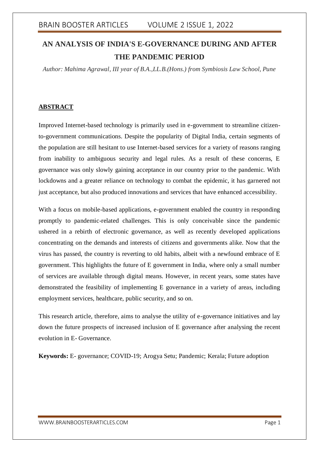# **AN ANALYSIS OF INDIA'S E-GOVERNANCE DURING AND AFTER THE PANDEMIC PERIOD**

*Author: Mahima Agrawal, III year of B.A.,LL.B.(Hons.) from Symbiosis Law School, Pune*

### **ABSTRACT**

Improved Internet-based technology is primarily used in e-government to streamline citizento-government communications. Despite the popularity of Digital India, certain segments of the population are still hesitant to use Internet-based services for a variety of reasons ranging from inability to ambiguous security and legal rules. As a result of these concerns, E governance was only slowly gaining acceptance in our country prior to the pandemic. With lockdowns and a greater reliance on technology to combat the epidemic, it has garnered not just acceptance, but also produced innovations and services that have enhanced accessibility.

With a focus on mobile-based applications, e-government enabled the country in responding promptly to pandemic-related challenges. This is only conceivable since the pandemic ushered in a rebirth of electronic governance, as well as recently developed applications concentrating on the demands and interests of citizens and governments alike. Now that the virus has passed, the country is reverting to old habits, albeit with a newfound embrace of E government. This highlights the future of E government in India, where only a small number of services are available through digital means. However, in recent years, some states have demonstrated the feasibility of implementing E governance in a variety of areas, including employment services, healthcare, public security, and so on.

This research article, therefore, aims to analyse the utility of e-governance initiatives and lay down the future prospects of increased inclusion of E governance after analysing the recent evolution in E- Governance.

**Keywords:** E- governance; COVID-19; Arogya Setu; Pandemic; Kerala; Future adoption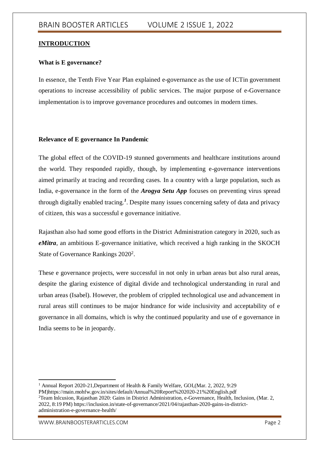#### **INTRODUCTION**

#### **What is E governance?**

In essence, the Tenth Five Year Plan explained e-governance as the use of ICTin government operations to increase accessibility of public services. The major purpose of e-Governance implementation is to improve governance procedures and outcomes in modern times.

#### **Relevance of E governance In Pandemic**

The global effect of the COVID-19 stunned governments and healthcare institutions around the world. They responded rapidly, though, by implementing e-governance interventions aimed primarily at tracing and recording cases. In a country with a large population, such as India, e-governance in the form of the *Arogya Setu App* focuses on preventing virus spread through digitally enabled tracing.*<sup>1</sup>* . Despite many issues concerning safety of data and privacy of citizen, this was a successful e governance initiative.

Rajasthan also had some good efforts in the District Administration category in 2020, such as *eMitra*, an ambitious E-governance initiative, which received a high ranking in the SKOCH State of Governance Rankings 2020<sup>2</sup>.

These e governance projects, were successful in not only in urban areas but also rural areas, despite the glaring existence of digital divide and technological understanding in rural and urban areas (Isabel). However, the problem of crippled technological use and advancement in rural areas still continues to be major hindrance for wide inclusivity and acceptability of e governance in all domains, which is why the continued popularity and use of e governance in India seems to be in jeopardy.

<sup>1</sup> <sup>1</sup> Annual Report 2020-21, Department of Health & Family Welfare, GOI, (Mar. 2, 2022, 9:29) PM)https://main.mohfw.gov.in/sites/default/Annual%20Report%202020-21%20English.pdf <sup>2</sup>Team Inlcusion, Rajasthan 2020: Gains in District Administration, e-Governance, Health, Inclusion, (Mar. 2, 2022, 8:19 PM) https://inclusion.in/state-of-governance/2021/04/rajasthan-2020-gains-in-districtadministration-e-governance-health/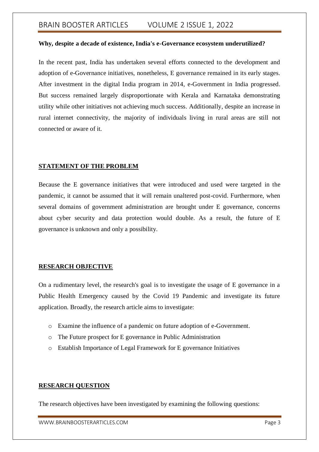#### **Why, despite a decade of existence, India's e-Governance ecosystem underutilized?**

In the recent past, India has undertaken several efforts connected to the development and adoption of e-Governance initiatives, nonetheless, E governance remained in its early stages. After investment in the digital India program in 2014, e-Government in India progressed. But success remained largely disproportionate with Kerala and Karnataka demonstrating utility while other initiatives not achieving much success. Additionally, despite an increase in rural internet connectivity, the majority of individuals living in rural areas are still not connected or aware of it.

#### **STATEMENT OF THE PROBLEM**

Because the E governance initiatives that were introduced and used were targeted in the pandemic, it cannot be assumed that it will remain unaltered post-covid. Furthermore, when several domains of government administration are brought under E governance, concerns about cyber security and data protection would double. As a result, the future of E governance is unknown and only a possibility.

#### **RESEARCH OBJECTIVE**

On a rudimentary level, the research's goal is to investigate the usage of E governance in a Public Health Emergency caused by the Covid 19 Pandemic and investigate its future application. Broadly, the research article aims to investigate:

- o Examine the influence of a pandemic on future adoption of e-Government.
- o The Future prospect for E governance in Public Administration
- o Establish Importance of Legal Framework for E governance Initiatives

#### **RESEARCH QUESTION**

The research objectives have been investigated by examining the following questions:

WWW.BRAINBOOSTERARTICLES.COM **Page 3**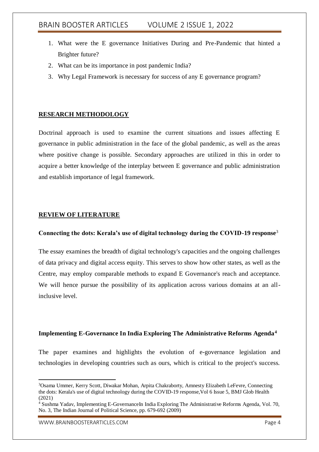- 1. What were the E governance Initiatives During and Pre-Pandemic that hinted a Brighter future?
- 2. What can be its importance in post pandemic India?
- 3. Why Legal Framework is necessary for success of any E governance program?

### **RESEARCH METHODOLOGY**

Doctrinal approach is used to examine the current situations and issues affecting E governance in public administration in the face of the global pandemic, as well as the areas where positive change is possible. Secondary approaches are utilized in this in order to acquire a better knowledge of the interplay between E governance and public administration and establish importance of legal framework.

### **REVIEW OF LITERATURE**

#### **Connecting the dots: Kerala's use of digital technology during the COVID-19 response**<sup>3</sup>

The essay examines the breadth of digital technology's capacities and the ongoing challenges of data privacy and digital access equity. This serves to show how other states, as well as the Centre, may employ comparable methods to expand E Governance's reach and acceptance. We will hence pursue the possibility of its application across various domains at an allinclusive level.

#### **Implementing E-Governance In India Exploring The Administrative Reforms Agenda<sup>4</sup>**

The paper examines and highlights the evolution of e-governance legislation and technologies in developing countries such as ours, which is critical to the project's success.

1

<sup>3</sup>Osama Ummer, Kerry Scott, Diwakar Mohan, Arpita Chakraborty, Amnesty Elizabeth LeFevre, Connecting the dots: Kerala's use of digital technology during the COVID-19 response,Vol 6 Issue 5, BMJ Glob Health (2021)

<sup>&</sup>lt;sup>4</sup> Sushma Yadav, Implementing E-GovernanceIn India Exploring The Administrative Reforms Agenda, Vol. 70, No. 3, The Indian Journal of Political Science, pp. 679-692 (2009)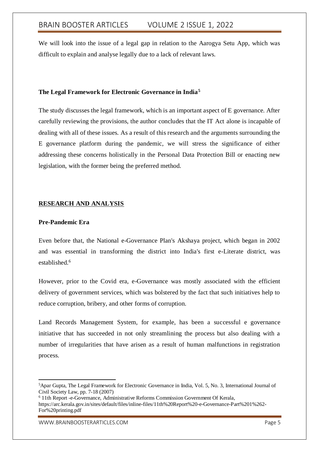We will look into the issue of a legal gap in relation to the Aarogya Setu App, which was difficult to explain and analyse legally due to a lack of relevant laws.

#### **The Legal Framework for Electronic Governance in India<sup>5</sup>**

The study discusses the legal framework, which is an important aspect of E governance. After carefully reviewing the provisions, the author concludes that the IT Act alone is incapable of dealing with all of these issues. As a result of this research and the arguments surrounding the E governance platform during the pandemic, we will stress the significance of either addressing these concerns holistically in the Personal Data Protection Bill or enacting new legislation, with the former being the preferred method.

### **RESEARCH AND ANALYSIS**

#### **Pre-Pandemic Era**

Even before that, the National e-Governance Plan's Akshaya project, which began in 2002 and was essential in transforming the district into India's first e-Literate district, was established.<sup>6</sup>

However, prior to the Covid era, e-Governance was mostly associated with the efficient delivery of government services, which was bolstered by the fact that such initiatives help to reduce corruption, bribery, and other forms of corruption.

Land Records Management System, for example, has been a successful e governance initiative that has succeeded in not only streamlining the process but also dealing with a number of irregularities that have arisen as a result of human malfunctions in registration process.

<sup>1</sup> <sup>5</sup>Apar Gupta, The Legal Framework for Electronic Governance in India, Vol. 5, No. 3, International Journal of Civil Society Law, pp. 7-18 (2007)

<sup>6</sup> 11th Report -e-Governance, Administrative Reforms Commission Government Of Kerala, https://arc.kerala.gov.in/sites/default/files/inline-files/11th%20Report%20-e-Governance-Part%201%262- For%20printing.pdf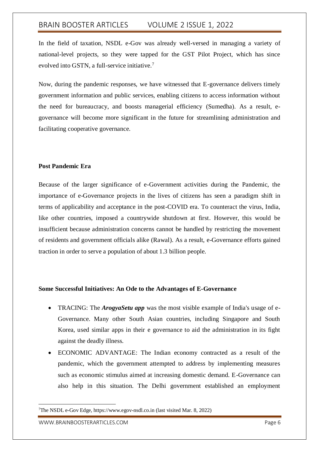In the field of taxation, NSDL e-Gov was already well-versed in managing a variety of national-level projects, so they were tapped for the GST Pilot Project, which has since evolved into GSTN, a full-service initiative.<sup>7</sup>

Now, during the pandemic responses, we have witnessed that E-governance delivers timely government information and public services, enabling citizens to access information without the need for bureaucracy, and boosts managerial efficiency (Sumedha). As a result, egovernance will become more significant in the future for streamlining administration and facilitating cooperative governance.

#### **Post Pandemic Era**

Because of the larger significance of e-Government activities during the Pandemic, the importance of e-Governance projects in the lives of citizens has seen a paradigm shift in terms of applicability and acceptance in the post-COVID era. To counteract the virus, India, like other countries, imposed a countrywide shutdown at first. However, this would be insufficient because administration concerns cannot be handled by restricting the movement of residents and government officials alike (Rawal). As a result, e-Governance efforts gained traction in order to serve a population of about 1.3 billion people.

#### **Some Successful Initiatives: An Ode to the Advantages of E-Governance**

- TRACING: The *ArogyaSetu app* was the most visible example of India's usage of e-Governance. Many other South Asian countries, including Singapore and South Korea, used similar apps in their e governance to aid the administration in its fight against the deadly illness.
- ECONOMIC ADVANTAGE: The Indian economy contracted as a result of the pandemic, which the government attempted to address by implementing measures such as economic stimulus aimed at increasing domestic demand. E-Governance can also help in this situation. The Delhi government established an employment

WWW.BRAINBOOSTERARTICLES.COM **Page 6** 

1

<sup>7</sup>The NSDL e-Gov Edge, [https://www.egov-nsdl.co.in](https://www.egov-nsdl.co.in/) (last visited Mar. 8, 2022)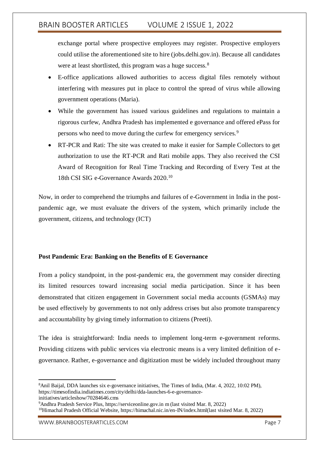exchange portal where prospective employees may register. Prospective employers could utilise the aforementioned site to hire (jobs.delhi.gov.in). Because all candidates were at least shortlisted, this program was a huge success.<sup>8</sup>

- E-office applications allowed authorities to access digital files remotely without interfering with measures put in place to control the spread of virus while allowing government operations (Maria).
- While the government has issued various guidelines and regulations to maintain a rigorous curfew, Andhra Pradesh has implemented e governance and offered ePass for persons who need to move during the curfew for emergency services.<sup>9</sup>
- RT-PCR and Rati: The site was created to make it easier for Sample Collectors to get authorization to use the RT-PCR and Rati mobile apps. They also received the CSI Award of Recognition for Real Time Tracking and Recording of Every Test at the 18th CSI SIG e-Governance Awards 2020.<sup>10</sup>

Now, in order to comprehend the triumphs and failures of e-Government in India in the postpandemic age, we must evaluate the drivers of the system, which primarily include the government, citizens, and technology (ICT)

### **Post Pandemic Era: Banking on the Benefits of E Governance**

From a policy standpoint, in the post-pandemic era, the government may consider directing its limited resources toward increasing social media participation. Since it has been demonstrated that citizen engagement in Government social media accounts (GSMAs) may be used effectively by governments to not only address crises but also promote transparency and accountability by giving timely information to citizens (Preeti).

The idea is straightforward: India needs to implement long-term e-government reforms. Providing citizens with public services via electronic means is a very limited definition of egovernance. Rather, e-governance and digitization must be widely included throughout many

1

<sup>8</sup>Anil Baijal, DDA launches six e-governance initiatives, The Times of India, (Mar. 4, 2022, 10:02 PM), https://timesofindia.indiatimes.com/city/delhi/dda-launches-6-e-governanceinitiatives/articleshow/70284646.cms

<sup>9</sup>Andhra Pradesh Service Plus, https://serviceonline.gov.in m (last visited Mar. 8, 2022)

<sup>10</sup>Himachal Pradesh Official Website, https://himachal.nic.in/en-IN/index.html(last visited Mar. 8, 2022)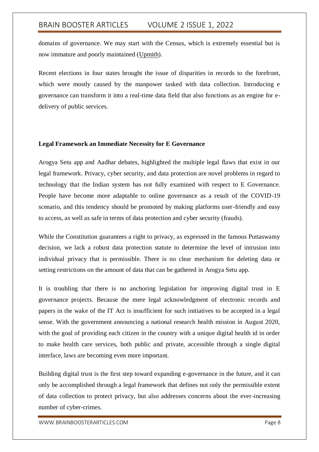domains of governance. We may start with the Census, which is extremely essential but is now immature and poorly maintained [\(Upmith\)](#page-8-0).

Recent elections in four states brought the issue of disparities in records to the forefront, which were mostly caused by the manpower tasked with data collection. Introducing e governance can transform it into a real-time data field that also functions as an engine for edelivery of public services.

#### **Legal Framework an Immediate Necessity for E Governance**

Arogya Setu app and Aadhar debates, highlighted the multiple legal flaws that exist in our legal framework. Privacy, cyber security, and data protection are novel problems in regard to technology that the Indian system has not fully examined with respect to E Governance. People have become more adaptable to online governance as a result of the COVID-19 scenario, and this tendency should be promoted by making platforms user-friendly and easy to access, as well as safe in terms of data protection and cyber security (frauds).

While the Constitution guarantees a right to privacy, as expressed in the famous Puttaswamy decision, we lack a robust data protection statute to determine the level of intrusion into individual privacy that is permissible. There is no clear mechanism for deleting data or setting restrictions on the amount of data that can be gathered in Arogya Setu app.

It is troubling that there is no anchoring legislation for improving digital trust in E governance projects. Because the mere legal acknowledgment of electronic records and papers in the wake of the IT Act is insufficient for such initiatives to be accepted in a legal sense. With the government announcing a national research health mission in August 2020, with the goal of providing each citizen in the country with a unique digital health id in order to make health care services, both public and private, accessible through a single digital interface, laws are becoming even more important.

Building digital trust is the first step toward expanding e-governance in the future, and it can only be accomplished through a legal framework that defines not only the permissible extent of data collection to protect privacy, but also addresses concerns about the ever-increasing number of cyber-crimes.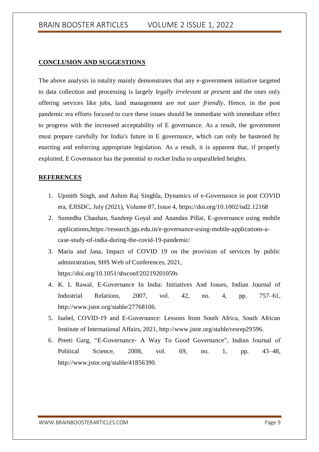#### **CONCLUSION AND SUGGESTIONS**

The above analysis in totality mainly demonstrates that any e-government initiative targeted to data collection and processing is largely *legally irrelevant at present* and the ones only offering services like jobs, land management are *not user friendly*. Hence, in the post pandemic era efforts focused to cure these issues should be immediate with immediate effect to progress with the increased acceptability of E governance. As a result, the government must prepare carefully for India's future in E governance, which can only be hastened by enacting and enforcing appropriate legislation. As a result, it is apparent that, if properly exploited, E Governance has the potential to rocket India to unparalleled heights.

#### **REFERENCES**

- <span id="page-8-0"></span>1. Upmith Singh, and Ashim Raj Singhla, Dynamics of e-Governance in post COVID era, EJISDC, July (2021), Volume 87, Issue 4,<https://doi.org/10.1002/isd2.12168>
- 2. Sumedha Chauhan, Sandeep Goyal and Anandan Pillai, E-governance using mobile applications[,https://research.jgu.edu.in/e-governance-using-mobile-applications-a](https://research.jgu.edu.in/e-governance-using-mobile-applications-a-case-study-of-india-during-the-covid-19-pandemic/)[case-study-of-india-during-the-covid-19-pandemic/](https://research.jgu.edu.in/e-governance-using-mobile-applications-a-case-study-of-india-during-the-covid-19-pandemic/)
- 3. Maria and Jana, Impact of COVID 19 on the provision of services by public administration, SHS Web of Conferences, 2021, https://doi.org/10.1051/shsconf/20219201059s
- 4. K. L Rawal, E-Governance In India: Initiatives And Issues, Indian Journal of Industrial Relation*s*, 2007, vol. 42, no. 4, pp. 757–61, http://www.jstor.org/stable/27768106.
- 5. Isabel, COVID-19 and E-Governance: Lessons from South Africa, South African Institute of International Affairs, 2021, http://www.jstor.org/stable/resrep29596.
- 6. Preeti Garg, "E-Governance- A Way To Good Governance", Indian Journal of Political Science, 2008, vol. 69, no. 1, pp. 43–48, http://www.jstor.org/stable/41856390.